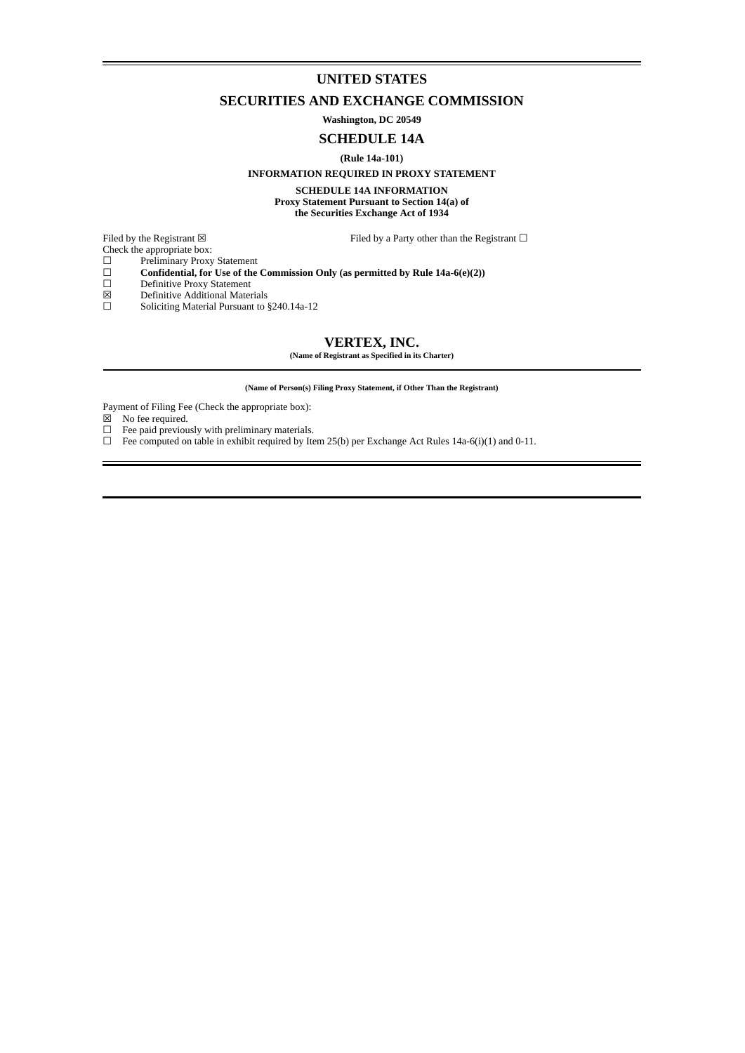# **UNITED STATES**

# **SECURITIES AND EXCHANGE COMMISSION**

**Washington, DC 20549**

# **SCHEDULE 14A**

#### **(Rule 14a-101)**

#### **INFORMATION REQUIRED IN PROXY STATEMENT**

**SCHEDULE 14A INFORMATION Proxy Statement Pursuant to Section 14(a) of the Securities Exchange Act of 1934**

Filed by the Registrant  $\boxtimes$  Filed by a Party other than the Registrant  $\Box$ 

Check the appropriate box:

- ☐ Preliminary Proxy Statement
- ☐ **Confidential, for Use of the Commission Only (as permitted by Rule 14a-6(e)(2))**
- □ Fremminaly Proxy Statement<br>
□ Confidential, for Use of th<br>
□ Definitive Proxy Statement<br>
□ Definitive Additional Mater
- $\boxtimes$  Definitive Additional Materials<br>  $\square$  Soliciting Material Pursuant to
- Soliciting Material Pursuant to §240.14a-12

# **VERTEX, INC.**

**(Name of Registrant as Specified in its Charter)**

**(Name of Person(s) Filing Proxy Statement, if Other Than the Registrant)**

Payment of Filing Fee (Check the appropriate box):

- $\boxtimes$  No fee required.<br> $\Box$  Fee paid previou
- 
- $\Box$  Fee paid previously with preliminary materials.<br> $\Box$  Fee computed on table in exhibit required by Ite Fee computed on table in exhibit required by Item 25(b) per Exchange Act Rules 14a-6(i)(1) and 0-11.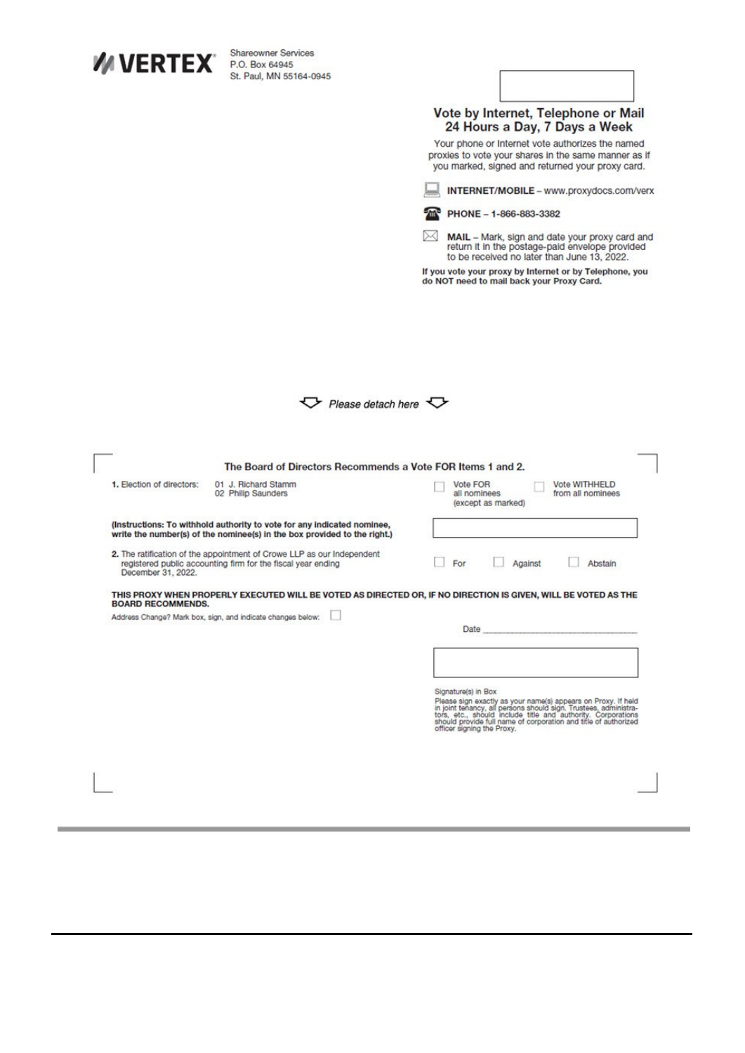| <b>WIVERTEX</b>           | <b>Shareowner Services</b><br>P.O. Box 64945                                                                                                       |                                                                                                                                                                                                                                                                                              |
|---------------------------|----------------------------------------------------------------------------------------------------------------------------------------------------|----------------------------------------------------------------------------------------------------------------------------------------------------------------------------------------------------------------------------------------------------------------------------------------------|
|                           | St. Paul, MN 55164-0945                                                                                                                            |                                                                                                                                                                                                                                                                                              |
|                           |                                                                                                                                                    |                                                                                                                                                                                                                                                                                              |
|                           |                                                                                                                                                    | Vote by Internet, Telephone or Mail<br>24 Hours a Day, 7 Days a Week                                                                                                                                                                                                                         |
|                           |                                                                                                                                                    | Your phone or Internet vote authorizes the named<br>proxies to vote your shares in the same manner as if<br>you marked, signed and returned your proxy card.                                                                                                                                 |
|                           |                                                                                                                                                    | INTERNET/MOBILE - www.proxydocs.com/verx                                                                                                                                                                                                                                                     |
|                           |                                                                                                                                                    | PHONE - 1-866-883-3382                                                                                                                                                                                                                                                                       |
|                           |                                                                                                                                                    | ⋊<br>MAIL - Mark, sign and date your proxy card and<br>return it in the postage-paid envelope provided<br>to be received no later than June 13, 2022.                                                                                                                                        |
|                           |                                                                                                                                                    | If you vote your proxy by Internet or by Telephone, you<br>do NOT need to mail back your Proxy Card.                                                                                                                                                                                         |
|                           |                                                                                                                                                    |                                                                                                                                                                                                                                                                                              |
|                           |                                                                                                                                                    |                                                                                                                                                                                                                                                                                              |
|                           |                                                                                                                                                    |                                                                                                                                                                                                                                                                                              |
|                           | $\triangledown$ Please detach here $\triangledown$                                                                                                 |                                                                                                                                                                                                                                                                                              |
|                           |                                                                                                                                                    |                                                                                                                                                                                                                                                                                              |
|                           |                                                                                                                                                    |                                                                                                                                                                                                                                                                                              |
|                           |                                                                                                                                                    |                                                                                                                                                                                                                                                                                              |
|                           |                                                                                                                                                    |                                                                                                                                                                                                                                                                                              |
| 1. Election of directors: | The Board of Directors Recommends a Vote FOR Items 1 and 2.<br>01 J. Richard Stamm<br>02 Philip Saunders                                           | Vote FOR<br>Vote WITHHELD<br>all nominees<br>from all nominees<br>(except as marked)                                                                                                                                                                                                         |
|                           | (Instructions: To withhold authority to vote for any indicated nominee,                                                                            |                                                                                                                                                                                                                                                                                              |
|                           | write the number(s) of the nominee(s) in the box provided to the right.)<br>2. The ratification of the appointment of Crowe LLP as our Independent |                                                                                                                                                                                                                                                                                              |
| December 31, 2022.        | registered public accounting firm for the fiscal year ending                                                                                       | For<br>Against<br>Abstain                                                                                                                                                                                                                                                                    |
| <b>BOARD RECOMMENDS.</b>  |                                                                                                                                                    | THIS PROXY WHEN PROPERLY EXECUTED WILL BE VOTED AS DIRECTED OR, IF NO DIRECTION IS GIVEN, WILL BE VOTED AS THE                                                                                                                                                                               |
|                           | Address Change? Mark box, sign, and indicate changes below:                                                                                        |                                                                                                                                                                                                                                                                                              |
|                           |                                                                                                                                                    | Date                                                                                                                                                                                                                                                                                         |
|                           |                                                                                                                                                    |                                                                                                                                                                                                                                                                                              |
|                           |                                                                                                                                                    | Signature(s) in Box<br>Please sign exactly as your name(s) appears on Proxy. If held<br>in joint tenancy, all persons should sign. Trustees, administra-<br>tors, etc., should include title and authority. Corporations<br>should provide full name of corpor<br>officer signing the Proxy. |
|                           |                                                                                                                                                    |                                                                                                                                                                                                                                                                                              |
|                           |                                                                                                                                                    |                                                                                                                                                                                                                                                                                              |

,我们也不会有什么?""我们不会有什么?""我们不会有什么?""我们不会有什么?""我们不会有什么?""我们不会有什么?""我们不会有什么?""我们不会有什么?

**College**